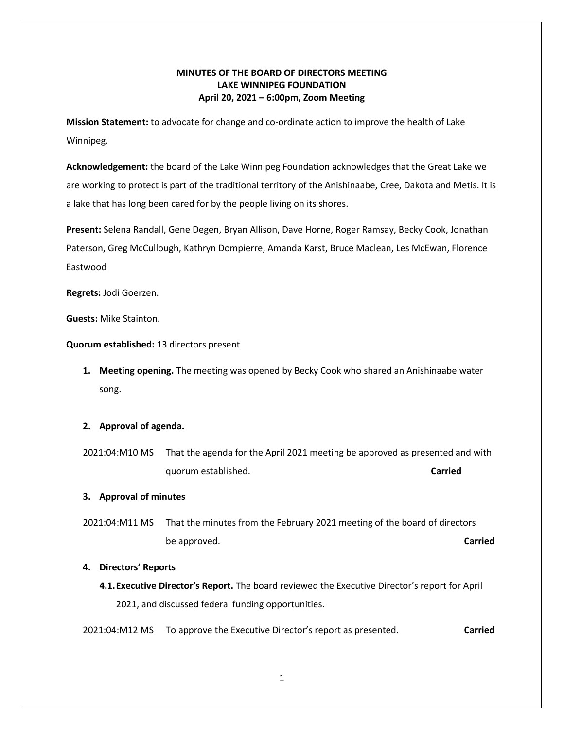## **MINUTES OF THE BOARD OF DIRECTORS MEETING LAKE WINNIPEG FOUNDATION April 20, 2021 – 6:00pm, Zoom Meeting**

**Mission Statement:** to advocate for change and co-ordinate action to improve the health of Lake Winnipeg.

**Acknowledgement:** the board of the Lake Winnipeg Foundation acknowledges that the Great Lake we are working to protect is part of the traditional territory of the Anishinaabe, Cree, Dakota and Metis. It is a lake that has long been cared for by the people living on its shores.

**Present:** Selena Randall, Gene Degen, Bryan Allison, Dave Horne, Roger Ramsay, Becky Cook, Jonathan Paterson, Greg McCullough, Kathryn Dompierre, Amanda Karst, Bruce Maclean, Les McEwan, Florence Eastwood

**Regrets:** Jodi Goerzen.

**Guests:** Mike Stainton.

**Quorum established:** 13 directors present

**1. Meeting opening.** The meeting was opened by Becky Cook who shared an Anishinaabe water song.

### **2. Approval of agenda.**

2021:04:M10 MS That the agenda for the April 2021 meeting be approved as presented and with quorum established. **Carried** 

### **3. Approval of minutes**

2021:04:M11 MS That the minutes from the February 2021 meeting of the board of directors be approved. **Carried**

#### **4. Directors' Reports**

**4.1.Executive Director's Report.** The board reviewed the Executive Director's report for April 2021, and discussed federal funding opportunities.

2021:04:M12 MS To approve the Executive Director's report as presented. **Carried**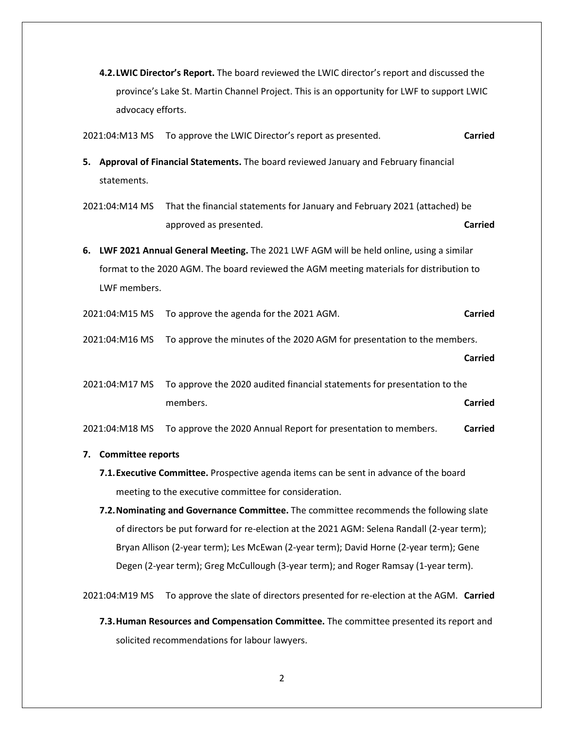- **4.2.LWIC Director's Report.** The board reviewed the LWIC director's report and discussed the province's Lake St. Martin Channel Project. This is an opportunity for LWF to support LWIC advocacy efforts.
- 2021:04:M13 MS To approve the LWIC Director's report as presented. **Carried**
- **5. Approval of Financial Statements.** The board reviewed January and February financial statements.
- 2021:04:M14 MS That the financial statements for January and February 2021 (attached) be approved as presented. **Carried**
- **6. LWF 2021 Annual General Meeting.** The 2021 LWF AGM will be held online, using a similar format to the 2020 AGM. The board reviewed the AGM meeting materials for distribution to LWF members.
- 2021:04:M15 MS To approve the agenda for the 2021 AGM. **Carried**
- 2021:04:M16 MS To approve the minutes of the 2020 AGM for presentation to the members.

**Carried**

2021:04:M17 MS To approve the 2020 audited financial statements for presentation to the members. **Carried**

2021:04:M18 MS To approve the 2020 Annual Report for presentation to members. **Carried**

- **7. Committee reports**
	- **7.1.Executive Committee.** Prospective agenda items can be sent in advance of the board meeting to the executive committee for consideration.
	- **7.2.Nominating and Governance Committee.** The committee recommends the following slate of directors be put forward for re-election at the 2021 AGM: Selena Randall (2-year term); Bryan Allison (2-year term); Les McEwan (2-year term); David Horne (2-year term); Gene Degen (2-year term); Greg McCullough (3-year term); and Roger Ramsay (1-year term).

2021:04:M19 MS To approve the slate of directors presented for re-election at the AGM. **Carried** 

**7.3.Human Resources and Compensation Committee.** The committee presented its report and solicited recommendations for labour lawyers.